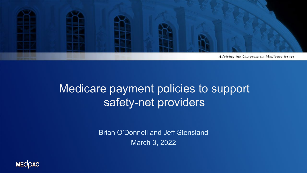

# Medicare payment policies to support safety-net providers

Brian O'Donnell and Jeff Stensland March 3, 2022

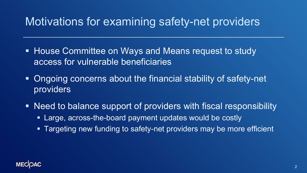#### Motivations for examining safety-net providers

- **House Committee on Ways and Means request to study** access for vulnerable beneficiaries
- Ongoing concerns about the financial stability of safety-net providers
- Need to balance support of providers with fiscal responsibility
	- Large, across-the-board payment updates would be costly
	- Targeting new funding to safety-net providers may be more efficient

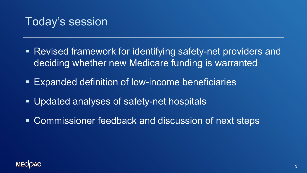#### Today's session

- Revised framework for identifying safety-net providers and deciding whether new Medicare funding is warranted
- Expanded definition of low-income beneficiaries
- Updated analyses of safety-net hospitals
- Commissioner feedback and discussion of next steps

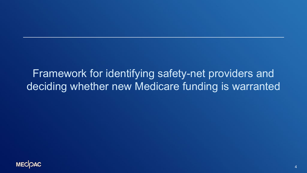#### Framework for identifying safety-net providers and deciding whether new Medicare funding is warranted

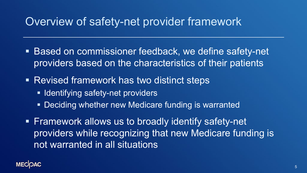#### Overview of safety-net provider framework

- Based on commissioner feedback, we define safety-net providers based on the characteristics of their patients
- **Revised framework has two distinct steps** 
	- **Indentifying safety-net providers**
	- **Deciding whether new Medicare funding is warranted**
- **Firamework allows us to broadly identify safety-net** providers while recognizing that new Medicare funding is not warranted in all situations

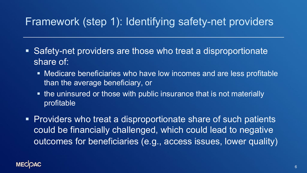#### Framework (step 1): Identifying safety-net providers

- Safety-net providers are those who treat a disproportionate share of:
	- Medicare beneficiaries who have low incomes and are less profitable than the average beneficiary, or
	- the uninsured or those with public insurance that is not materially profitable
- Providers who treat a disproportionate share of such patients could be financially challenged, which could lead to negative outcomes for beneficiaries (e.g., access issues, lower quality)

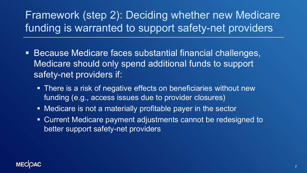## Framework (step 2): Deciding whether new Medicare funding is warranted to support safety-net providers

- Because Medicare faces substantial financial challenges, Medicare should only spend additional funds to support safety-net providers if:
	- There is a risk of negative effects on beneficiaries without new funding (e.g., access issues due to provider closures)
	- Medicare is not a materially profitable payer in the sector
	- Current Medicare payment adjustments cannot be redesigned to better support safety-net providers

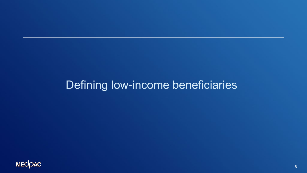#### Defining low-income beneficiaries

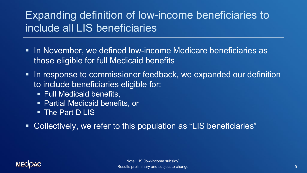#### Expanding definition of low-income beneficiaries to include all LIS beneficiaries

- **In November, we defined low-income Medicare beneficiaries as** those eligible for full Medicaid benefits
- I In response to commissioner feedback, we expanded our definition to include beneficiaries eligible for:
	- **Full Medicaid benefits,**
	- Partial Medicaid benefits, or
	- The Part D LIS
- Collectively, we refer to this population as "LIS beneficiaries"

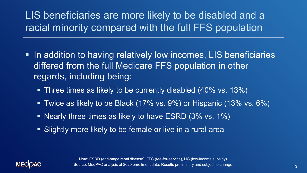#### LIS beneficiaries are more likely to be disabled and a racial minority compared with the full FFS population

- **In addition to having relatively low incomes, LIS beneficiaries** differed from the full Medicare FFS population in other regards, including being:
	- Three times as likely to be currently disabled (40% vs. 13%)
	- **Twice as likely to be Black (17% vs. 9%) or Hispanic (13% vs. 6%)**
	- Nearly three times as likely to have ESRD (3% vs. 1%)
	- **Slightly more likely to be female or live in a rural area**



Note: ESRD (end-stage renal disease), FFS (fee-for-service), LIS (low-income subsidy). Source: MedPAC analysis of 2020 enrollment data. Results preliminary and subject to change.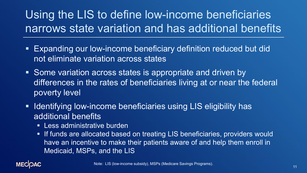# Using the LIS to define low-income beneficiaries narrows state variation and has additional benefits

- Expanding our low-income beneficiary definition reduced but did not eliminate variation across states
- **Some variation across states is appropriate and driven by** differences in the rates of beneficiaries living at or near the federal poverty level
- **If Identifying low-income beneficiaries using LIS eligibility has** additional benefits
	- **EXEC Less administrative burden**
	- **If funds are allocated based on treating LIS beneficiaries, providers would** have an incentive to make their patients aware of and help them enroll in Medicaid, MSPs, and the LIS

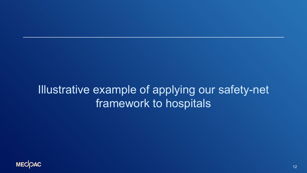# Illustrative example of applying our safety-net framework to hospitals

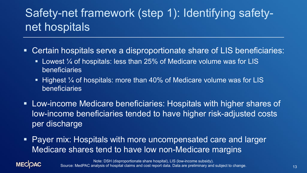# Safety-net framework (step 1): Identifying safetynet hospitals

- Certain hospitals serve a disproportionate share of LIS beneficiaries:
	- **Lowest**  $\frac{1}{4}$  **of hospitals: less than 25% of Medicare volume was for LIS** beneficiaries
	- **Highest**  $\frac{1}{4}$  **of hospitals: more than 40% of Medicare volume was for LIS** beneficiaries
- Low-income Medicare beneficiaries: Hospitals with higher shares of low-income beneficiaries tended to have higher risk-adjusted costs per discharge
- Payer mix: Hospitals with more uncompensated care and larger Medicare shares tend to have low non-Medicare margins



Note: DSH (disproportionate share hospital), LIS (low-income subsidy). Source: MedPAC analysis of hospital claims and cost report data. Data are preliminary and subject to change.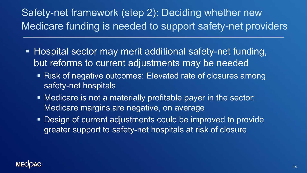### Safety-net framework (step 2): Deciding whether new Medicare funding is needed to support safety-net providers

- Hospital sector may merit additional safety-net funding, but reforms to current adjustments may be needed
	- Risk of negative outcomes: Elevated rate of closures among safety-net hospitals
	- Medicare is not a materially profitable payer in the sector: Medicare margins are negative, on average
	- **Design of current adjustments could be improved to provide** greater support to safety-net hospitals at risk of closure

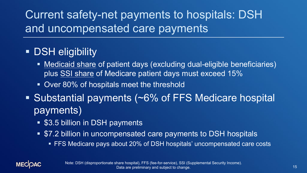Current safety-net payments to hospitals: DSH and uncompensated care payments

#### **- DSH eligibility**

- Medicaid share of patient days (excluding dual-eligible beneficiaries) plus SSI share of Medicare patient days must exceed 15%
- **Over 80% of hospitals meet the threshold**
- Substantial payments (~6% of FFS Medicare hospital payments)
	- **S3.5 billion in DSH payments**
	- \$7.2 billion in uncompensated care payments to DSH hospitals
		- FFS Medicare pays about 20% of DSH hospitals' uncompensated care costs

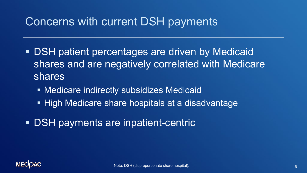#### Concerns with current DSH payments

- **DSH patient percentages are driven by Medicaid** shares and are negatively correlated with Medicare shares
	- **Medicare indirectly subsidizes Medicaid**
	- **High Medicare share hospitals at a disadvantage**
- **DSH payments are inpatient-centric**

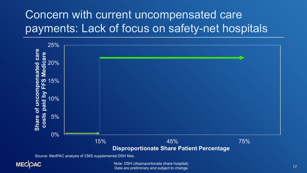# Concern with current uncompensated care payments: Lack of focus on safety-net hospitals



Source: MedPAC analysis of CMS supplemental DSH files.



Note: DSH (disproportionate share hospital). Data are preliminary and subject to change.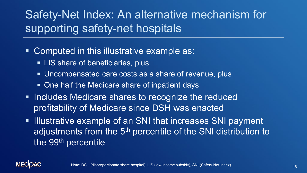# Safety-Net Index: An alternative mechanism for supporting safety-net hospitals

- Computed in this illustrative example as:
	- **LIS share of beneficiaries, plus**
	- Uncompensated care costs as a share of revenue, plus
	- **One half the Medicare share of inpatient days**
- **Includes Medicare shares to recognize the reduced** profitability of Medicare since DSH was enacted
- **Illustrative example of an SNI that increases SNI payment** adjustments from the 5<sup>th</sup> percentile of the SNI distribution to the 99<sup>th</sup> percentile

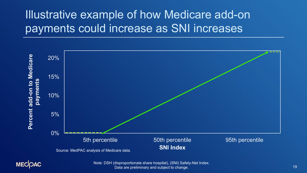# Illustrative example of how Medicare add-on payments could increase as SNI increases





Note: DSH (disproportionate share hospital), (SNI) Safety-Net Index. Data are preliminary and subject to change.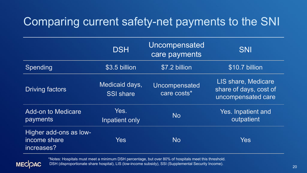# Comparing current safety-net payments to the SNI

|                                                      | <b>DSH</b>                         | Uncompensated<br>care payments | <b>SNI</b>                                                          |
|------------------------------------------------------|------------------------------------|--------------------------------|---------------------------------------------------------------------|
| Spending                                             | $$3.5$ billion                     | \$7.2 billion                  | \$10.7 billion                                                      |
| <b>Driving factors</b>                               | Medicaid days,<br><b>SSI share</b> | Uncompensated<br>care costs*   | LIS share, Medicare<br>share of days, cost of<br>uncompensated care |
| <b>Add-on to Medicare</b><br>payments                | Yes.<br>Inpatient only             | <b>No</b>                      | Yes. Inpatient and<br>outpatient                                    |
| Higher add-ons as low-<br>income share<br>increases? | <b>Yes</b>                         | <b>No</b>                      | <b>Yes</b>                                                          |



\*Notes: Hospitals must meet a minimum DSH percentage, but over 80% of hospitals meet this threshold. DSH (disproportionate share hospital), LIS (low-income subsidy), SSI (Supplemental Security Income).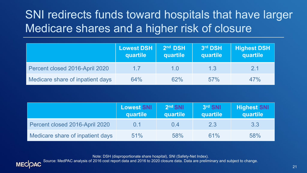# SNI redirects funds toward hospitals that have larger Medicare shares and a higher risk of closure

|                                  | <b>Lowest DSH</b><br>quartile | 2 <sup>nd</sup> DSH<br>quartile | 3rd DSH<br>quartile | <b>Highest DSH</b><br>quartile |
|----------------------------------|-------------------------------|---------------------------------|---------------------|--------------------------------|
| Percent closed 2016-April 2020   | 17                            | 1.0                             | 1.3                 | 2.1                            |
| Medicare share of inpatient days | 64%                           | 62%                             | 57%                 | 47%                            |

|                                  | Lowest SNI<br>quartile | 2 <sup>nd</sup> SNI<br>quartile | 3rd SNI<br>quartile | <b>Highest SNI</b><br>quartile |
|----------------------------------|------------------------|---------------------------------|---------------------|--------------------------------|
| Percent closed 2016-April 2020   | $(1)$ . 1              | 0.4                             | 2.3                 | 3.3                            |
| Medicare share of inpatient days | 51%                    | 58%                             | 61%                 | 58%                            |

Note: DSH (disproportionate share hospital), SNI (Safety-Net Index).

Source: MedPAC analysis of 2016 cost report data and 2016 to 2020 closure data. Data are preliminary and subject to change.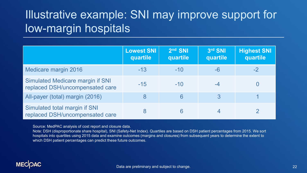# Illustrative example: SNI may improve support for low-margin hospitals

|                                                                            | <b>Lowest SNI</b><br>quartile | 2 <sup>nd</sup> SNI<br>quartile | 3rd SNI<br>quartile | <b>Highest SNI</b><br>quartile |
|----------------------------------------------------------------------------|-------------------------------|---------------------------------|---------------------|--------------------------------|
| Medicare margin 2016                                                       | $-13$                         | $-10$                           | $-6$                | $-2$                           |
| <b>Simulated Medicare margin if SNI</b><br>replaced DSH/uncompensated care | $-15$                         | $-10$                           |                     |                                |
| All-payer (total) margin (2016)                                            | 8                             | 6                               | 3                   |                                |
| Simulated total margin if SNI<br>replaced DSH/uncompensated care           |                               | 6                               | 4                   |                                |

Source: MedPAC analysis of cost report and closure data.

Note: DSH (disproportionate share hospital), SNI (Safety-Net Index). Quartiles are based on DSH patient percentages from 2015. We sort hospitals into quartiles using 2015 data and examine outcomes (margins and closures) from subsequent years to determine the extent to which DSH patient percentages can predict these future outcomes.

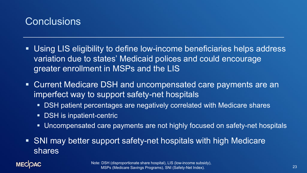

- Using LIS eligibility to define low-income beneficiaries helps address variation due to states' Medicaid polices and could encourage greater enrollment in MSPs and the LIS
- Current Medicare DSH and uncompensated care payments are an imperfect way to support safety-net hospitals
	- DSH patient percentages are negatively correlated with Medicare shares
	- **DSH** is inpatient-centric
	- Uncompensated care payments are not highly focused on safety-net hospitals
- SNI may better support safety-net hospitals with high Medicare shares

#### **MECOAC**